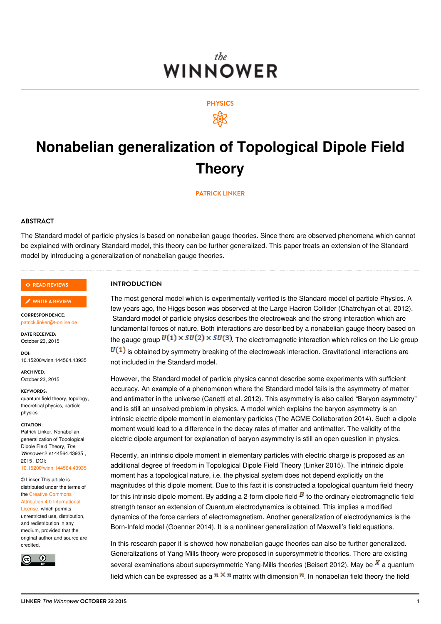### the. **WINNOWER**



### **Nonabelian generalization of Topological Dipole Field Theory**

**[PATRICK](/users/911) LINKER**

#### **ABSTRACT**

The Standard model of particle physics is based on nonabelian gauge theories. Since there are observed phenomena which cannot be explained with ordinary Standard model, this theory can be further generalized. This paper treats an extension of the Standard model by introducing a generalization of nonabelian gauge theories.

#### **READ [REVIEWS](https://thewinnower.com/papers/2859-nonabelian-generalization-of-topological-dipole-field-theory#submit)**

#### **WRITE A [REVIEW](https://thewinnower.com/papers/2859-nonabelian-generalization-of-topological-dipole-field-theory#submit)** ✎

**CORRESPONDENCE:** [patrick.linker@t-online.de](mailto:patrick.linker@t-online.de)

**DATE RECEIVED:** October 23, 2015

**DOI:** 10.15200/winn.144564.43935

**ARCHIVED:** October 23, 2015

**KEYWORDS:**

quantum field theory, topology, theoretical physics, particle physics

#### **CITATION:**

Patrick Linker, Nonabelian generalization of Topological Dipole Field Theory, *The Winnower* 2:e144564.43935 ,  $2015$  DOI: [10.15200/winn.144564.43935](https://dx.doi.org/10.15200/winn.144564.43935)

© Linker This article is distributed under the terms of the Creative Commons Attribution 4.0 [International](https://creativecommons.org/licenses/by/4.0/)

License, which permits unrestricted use, distribution, and redistribution in any medium, provided that the original author and source are credited.



### **INTRODUCTION**

The most general model which is experimentally verified is the Standard model of particle Physics. A few years ago, the Higgs boson was observed at the Large Hadron Collider (Chatrchyan et al. 2012). Standard model of particle physics describes the electroweak and the strong interaction which are fundamental forces of nature. Both interactions are described by a nonabelian gauge theory based on the gauge group  $U(1) \times SU(2) \times SU(3)$  The electromagnetic interaction which relies on the Lie group  $U(1)$  is obtained by symmetry breaking of the electroweak interaction. Gravitational interactions are not included in the Standard model.

However, the Standard model of particle physics cannot describe some experiments with sufficient accuracy. An example of a phenomenon where the Standard model fails is the asymmetry of matter and antimatter in the universe (Canetti et al. 2012). This asymmetry is also called "Baryon asymmetry" and is still an unsolved problem in physics. A model which explains the baryon asymmetry is an intrinsic electric dipole moment in elementary particles (The ACME Collaboration 2014). Such a dipole moment would lead to a difference in the decay rates of matter and antimatter. The validity of the electric dipole argument for explanation of baryon asymmetry is still an open question in physics.

Recently, an intrinsic dipole moment in elementary particles with electric charge is proposed as an additional degree of freedom in Topological Dipole Field Theory (Linker 2015). The intrinsic dipole moment has a topological nature, i.e. the physical system does not depend explicitly on the magnitudes of this dipole moment. Due to this fact it is constructed a topological quantum field theory for this intrinsic dipole moment. By adding a 2-form dipole field  $\bar{B}$  to the ordinary electromagnetic field strength tensor an extension of Quantum electrodynamics is obtained. This implies a modified dynamics of the force carriers of electromagnetism. Another generalization of electrodynamics is the Born-Infeld model (Goenner 2014). It is a nonlinear generalization of Maxwell's field equations.

In this research paper it is showed how nonabelian gauge theories can also be further generalized. Generalizations of Yang-Mills theory were proposed in supersymmetric theories. There are existing several examinations about supersymmetric Yang-Mills theories (Beisert 2012). May be  $\overline{X}$  a quantum field which can be expressed as a  $n \times n$  matrix with dimension  $n$ . In nonabelian field theory the field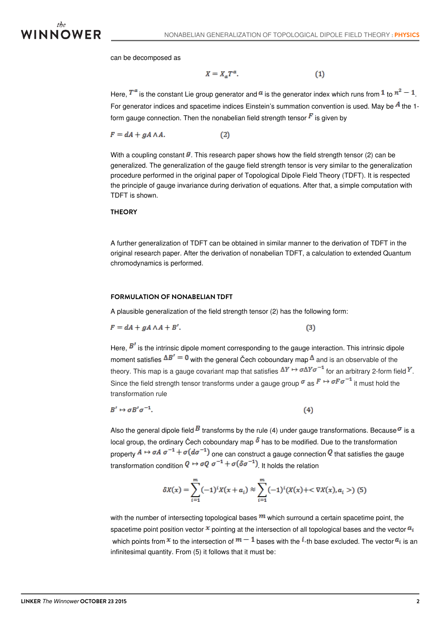

can be decomposed as

$$
X = X_{\alpha} T^{\alpha}.
$$
 (1)

Here,  $T^{\alpha}$  is the constant Lie group generator and  $^{\alpha}$  is the generator index which runs from  $1$  to  $n^2-1$ . For generator indices and spacetime indices Einstein's summation convention is used. May be  $^{\frac{1}{A}}$  the 1form gauge connection. Then the nonabelian field strength tensor  $\mathbf{F}$  is given by

$$
F = dA + gA \wedge A. \tag{2}
$$

With a coupling constant  $\mathcal G$ . This research paper shows how the field strength tensor (2) can be generalized. The generalization of the gauge field strength tensor is very similar to the generalization procedure performed in the original paper of Topological Dipole Field Theory (TDFT). It is respected the principle of gauge invariance during derivation of equations. After that, a simple computation with TDFT is shown.

#### **THEORY**

A further generalization of TDFT can be obtained in similar manner to the derivation of TDFT in the original research paper. After the derivation of nonabelian TDFT, a calculation to extended Quantum chromodynamics is performed.

#### **FORMULATION OF NONABELIAN TDFT**

A plausible generalization of the field strength tensor (2) has the following form:

$$
F = dA + gA \wedge A + B'.
$$

Here,  $B<sup>r</sup>$  is the intrinsic dipole moment corresponding to the gauge interaction. This intrinsic dipole moment satisfies  $\Delta B' = 0$  with the general Čech coboundary ma[p](https://en.wikipedia.org/wiki/%C4%8Cech_cohomology)  $\Delta$  and is an observable of the theory. This map is a gauge covariant map that satisfies  $\Delta Y \mapsto \sigma \Delta Y \sigma^{-1}$  for an arbitrary 2-form field  $Y$ . Since the field strength tensor transforms under a gauge group  $\sigma$  as  $F \mapsto \sigma F \sigma^{-1}$  it must hold the transformation rule

 $(3)$ 

$$
B' \mapsto \sigma B' \sigma^{-1}.\tag{4}
$$

Also the general dipole field  $\bar{B}$  transforms by the rule (4) under gauge transformations. Because  $\sigma$  is a local grou[p](https://en.wikipedia.org/wiki/%C4%8Cech_cohomology), the ordinary Čech coboundary map  $\delta$  has to be modified. Due to the transformation property  $A \mapsto \sigma A \sigma^{-1} + \sigma (d\sigma^{-1})$  one can construct a gauge connection  $Q$  that satisfies the gauge transformation condition  $Q \mapsto \sigma Q \sigma^{-1} + \sigma (\delta \sigma^{-1})$  It holds the relation

$$
\delta X(x) = \sum_{i=1}^{m} (-1)^{i} X(x + a_i) \approx \sum_{i=1}^{m} (-1)^{i} (X(x) + \langle \nabla X(x), a_i \rangle) \tag{5}
$$

with the number of intersecting topological bases  $m$  which surround a certain spacetime point, the spacetime point position vector  $\infty$  pointing at the intersection of all topological bases and the vector  $a_i$ which points from  $\pi$  to the intersection of  $m-1$  bases with the  $l$ -th base excluded. The vector  $a_i$  is an infinitesimal quantity. From (5) it follows that it must be: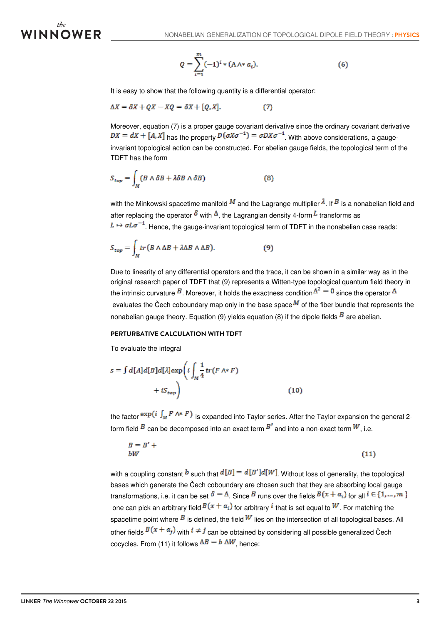# WINNOWER

$$
Q = \sum_{i=1}^{m} (-1)^{i} * (A \wedge * \alpha_{i}).
$$
 (6)

It is easy to show that the following quantity is a differential operator:

$$
\Delta X = \delta X + QX - XQ = \delta X + [Q, X]. \tag{7}
$$

Moreover, equation (7) is a proper gauge covariant derivative since the ordinary covariant derivative  $DX = dX + [A, X]$  has the property  $D(\sigma X \sigma^{-1}) = \sigma DX \sigma^{-1}$ . With above considerations, a gaugeinvariant topological action can be constructed. For abelian gauge fields, the topological term of the TDFT has the form

$$
S_{top} = \int_M (B \wedge \delta B + \lambda \delta B \wedge \delta B) \tag{8}
$$

with the Minkowski spacetime manifold  $^M$  and the Lagrange multiplier  $\lambda$ . If  $^B$  is a nonabelian field and after replacing the operator  $\delta$  with  $\Delta$ , the Lagrangian density 4-form  $L$  transforms as  $L \mapsto \sigma L \sigma^{-1}$ . Hence, the gauge-invariant topological term of TDFT in the nonabelian case reads:

$$
S_{top} = \int_M tr (B \wedge \Delta B + \lambda \Delta B \wedge \Delta B). \tag{9}
$$

Due to linearity of any differential operators and the trace, it can be shown in a similar way as in the original research paper of TDFT that (9) represents a Witten-type topological quantum field theory in the intrinsic curvature  $^B$ . Moreover, it holds the exactness condition  $\Delta^2=0$  since the operator  $\Delta$ evaluates the Čech coboundary map only in the base space  $^{M}$  of the fiber bundle that represents the nonabelian gauge theory. Equation (9) yields equation (8) if the dipole fields  $\vec{B}$  are abelian.

#### **PERTURBATIVE CALCULATION WITH TDFT**

To evaluate the integral

$$
s = \int d[A]d[B]d[\lambda]exp\left(i\int_M \frac{1}{4}tr(F \wedge^* F) + iS_{top}\right)
$$
\n(10)

the factor  $\exp(i \int_M F \wedge^* F)$  is expanded into Taylor series. After the Taylor expansion the general 2form field  $B$  can be decomposed into an exact term  $B<sup>t</sup>$  and into a non-exact term  $W$ , i.e.

$$
B = B' + \tag{11}
$$

with a coupling constant b such that  $d[B] = d[B']d[W]$ . Without loss of generality, the topological bases which generate the Čech coboundary are chosen such that they are absorbing local gauge transformations, i.e. it can be set  $\delta = \Delta$ . Since B runs over the fields  $B(x + a_i)$  for all  $i \in \{1, ..., m\}$ one can pick an arbitrary field  $B(x + a_i)$  for arbitrary  $i$  that is set equal to  $W$ . For matching the spacetime point where  $^B$  is defined, the field  $^W$  lies on the intersection of all topological bases. All other fields  $B(x + a_j)$  with  $i \neq j$  can be obtained by considering all possible generalized Čech cocycles. From (11) it follows  $\Delta B = b \Delta W$ , hence: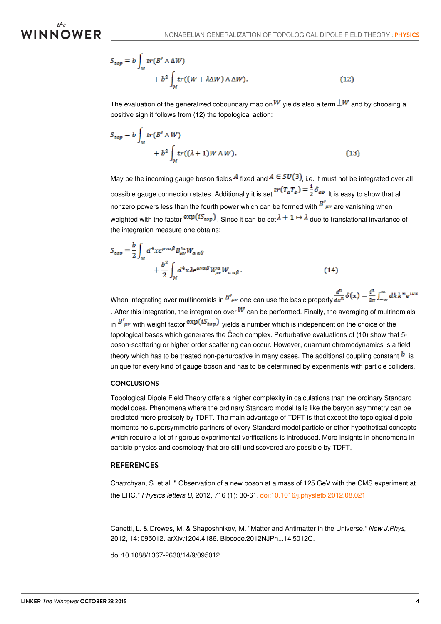# *INNOWER*

$$
S_{top} = b \int_M tr(B' \wedge \Delta W) + b^2 \int_M tr((W + \lambda \Delta W) \wedge \Delta W). \tag{12}
$$

The evaluation of the generalized coboundary map on  $W$  yields also a term  $\pm W$  and by choosing a positive sign it follows from (12) the topological action:

$$
S_{top} = b \int_M tr(B' \wedge W) + b^2 \int_M tr((\lambda + 1)W \wedge W). \tag{13}
$$

May be the incoming gauge boson fields  $\overline{A}$  fixed and  $\overline{A} \in SU(3)$ , i.e. it must not be integrated over all possible gauge connection states. Additionally it is set  $tr(T_a T_b) = \frac{1}{2} \delta_{ab}$  It is easy to show that all nonzero powers less than the fourth power which can be formed with  $B^{\prime}{}_{\mu\nu}$  are vanishing when weighted with the factor  $\exp(iS_{top})$ . Since it can be set  $\lambda + 1 \mapsto \lambda$  due to translational invariance of the integration measure one obtains:

$$
S_{top} = \frac{b}{2} \int_M d^4x \epsilon^{\mu\nu\alpha\beta} B^{\prime a}_{\mu\nu} W_{\alpha\alpha\beta} + \frac{b^2}{2} \int_M d^4x \lambda \epsilon^{\mu\nu\alpha\beta} W^{\alpha}_{\mu\nu} W_{\alpha\alpha\beta}.
$$
 (14)

When integrating over multinomials in  $B'_{\mu\nu}$  one can use the basic property  $\frac{d^n}{dx^n}\delta(x) = \frac{i^n}{2\pi}\int_{-\infty}^{\infty} dk k^n e^{ikx}$ . After this integration, the integration over  $W$  can be performed. Finally, the averaging of multinomials in  $B'_{\mu\nu}$  with weight factor  $\exp(iS_{top})$  vields a number which is independent on the choice of the topological bases which generates the Čech complex. Perturbative evaluations of (10) show that 5 boson-scattering or higher order scattering can occur. However, quantum chromodynamics is a field theory which has to be treated non-perturbative in many cases. The additional coupling constant  $^b$  is unique for every kind of gauge boson and has to be determined by experiments with particle colliders.

#### **CONCLUSIONS**

Topological Dipole Field Theory offers a higher complexity in calculations than the ordinary Standard model does. Phenomena where the ordinary Standard model fails like the baryon asymmetry can be predicted more precisely by TDFT. The main advantage of TDFT is that except the topological dipole moments no supersymmetric partners of every Standard model particle or other hypothetical concepts which require a lot of rigorous experimental verifications is introduced. More insights in phenomena in particle physics and cosmology that are still undiscovered are possible by TDFT.

### **REFERENCES**

Chatrchyan, S. et al. " Observation of a new boson at a mass of 125 GeV with the CMS experiment at the LHC." *Physics letters B*, 2012, 716 (1): 30-61. [doi:10.1016/j.physletb.2012.08.021](https://dx.doi.org/10.1016/j.physletb.2012.08.021)

Canetti, L. & Drewes, M. & Shaposhnikov, M. "Matter and Antimatter in the Universe.*" New J.Phys*, 2012, 14: 095012*.* [arXiv](https://en.wikipedia.org/wiki/ArXiv)*:*[1204.4186](https://arxiv.org/abs/1204.4186)*.* [Bibcode](https://en.wikipedia.org/wiki/Bibcode)*:*[2012NJPh...14i5012C](http://adsabs.harvard.edu/abs/2012NJPh...14i5012C)*.*

[doi](https://en.wikipedia.org/wiki/Digital_object_identifier)*:*[10.1088/1367-2630/14/9/095012](https://dx.doi.org/10.1088%2F1367-2630%2F14%2F9%2F095012)